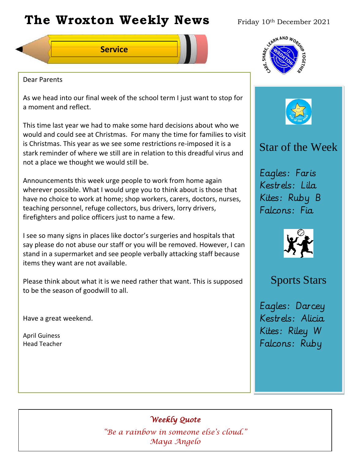# The Wroxton Weekly News Friday 10th December 2021

**Service**



#### Dear Parents

As we head into our final week of the school term I just want to stop for a moment and reflect.

This time last year we had to make some hard decisions about who we would and could see at Christmas. For many the time for families to visit is Christmas. This year as we see some restrictions re-imposed it is a stark reminder of where we still are in relation to this dreadful virus and not a place we thought we would still be.

Announcements this week urge people to work from home again wherever possible. What I would urge you to think about is those that have no choice to work at home; shop workers, carers, doctors, nurses, teaching personnel, refuge collectors, bus drivers, lorry drivers, firefighters and police officers just to name a few.

I see so many signs in places like doctor's surgeries and hospitals that say please do not abuse our staff or you will be removed. However, I can stand in a supermarket and see people verbally attacking staff because items they want are not available.

Please think about what it is we need rather that want. This is supposed to be the season of goodwill to all.

Have a great weekend.

April Guiness Head Teacher



## Star of the Week

Eagles: Faris Kestrels: Lila Kites: Ruby B Falcons: Fia



## Sports Stars

Eagles: Darcey Kestrels: Alicia Kites: Riley W Falcons: Ruby

## *Weekly Quote*

**Oct 30 Nov 4 Dec 1** *"Be a rainbow in someone else's cloud."*  **Teacher Day** *Maya Angelo*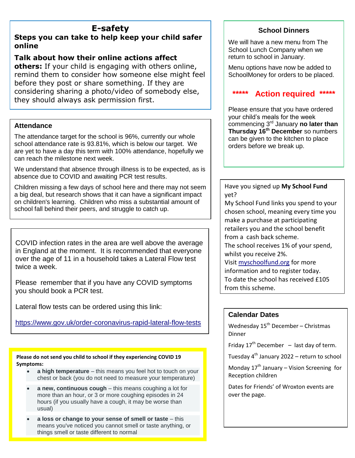## **E-safety**

### **Steps you can take to help keep your child safer online**

### **Talk about how their online actions affect**

**others:** If your child is engaging with others online, remind them to consider how someone else might feel before they post or share something. If they are considering sharing a photo/video of somebody else, they should always ask permission first.

#### **Attendance**

The attendance target for the school is 96%, currently our whole school attendance rate is 93.81%, which is below our target. We are yet to have a day this term with 100% attendance, hopefully we can reach the milestone next week.

We understand that absence through illness is to be expected, as is absence due to COVID and awaiting PCR test results.

Children missing a few days of school here and there may not seem a big deal, but research shows that it can have a significant impact on children's learning. Children who miss a substantial amount of school fall behind their peers, and struggle to catch up.

COVID infection rates in the area are well above the average in England at the moment. It is recommended that everyone over the age of 11 in a household takes a Lateral Flow test twice a week.

Please remember that if you have any COVID symptoms you should book a PCR test.

Lateral flow tests can be ordered using this link:

<https://www.gov.uk/order-coronavirus-rapid-lateral-flow-tests>

**Please do not send you child to school if they experiencing COVID 19 Symptoms:**

- **a high temperature** this means you feel hot to touch on your chest or back (you do not need to measure your temperature)
- **a new, continuous cough** this means coughing a lot for more than an hour, or 3 or more coughing episodes in 24 hours (if you usually have a cough, it may be worse than usual)
- **a loss or change to your sense of smell or taste** this means you've noticed you cannot smell or taste anything, or things smell or taste different to normal

## **School Dinners**

We will have a new menu from The School Lunch Company when we return to school in January.

Menu options have now be added to SchoolMoney for orders to be placed.

## **\*\*\*\*\* Action required \*\*\*\*\***

Please ensure that you have ordered your child's meals for the week commencing 3rd January **no later than Thursday 16th December** so numbers can be given to the kitchen to place orders before we break up.

Have you signed up **My School Fund** yet?

My School Fund links you spend to your chosen school, meaning every time you make a purchase at participating retailers you and the school benefit from a cash back scheme. The school receives 1% of your spend, whilst you receive 2%. Visit [myschoolfund.org](https://www.myschoolfund.org/#/home) for more information and to register today. To date the school has received £105 from this scheme.

#### **Calendar Dates**

Wednesday  $15^{th}$  December – Christmas Dinner

Friday  $17<sup>th</sup>$  December – last day of term.

Tuesday 4<sup>th</sup> January 2022 – return to school

Monday  $17^{th}$  January – Vision Screening for Reception children

Dates for Friends' of Wroxton events are over the page.